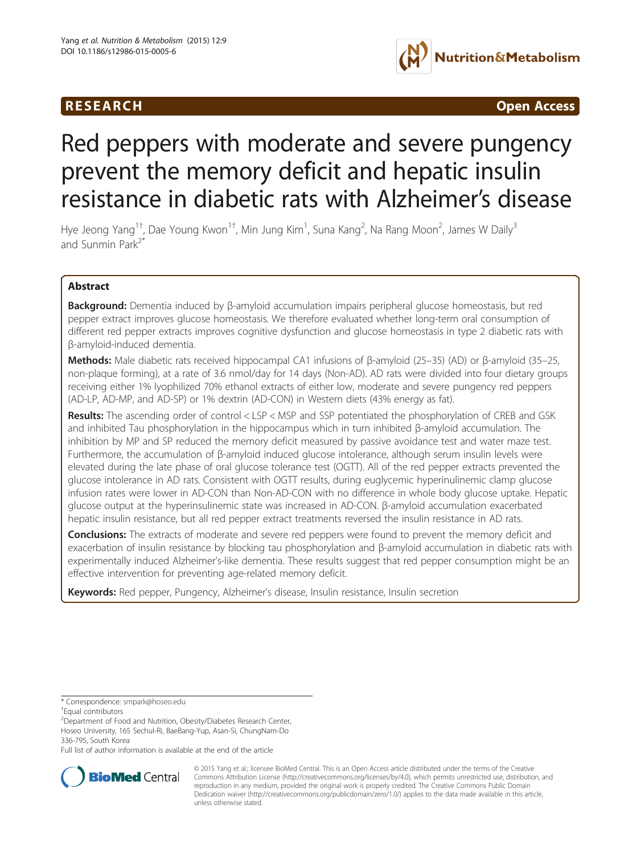# R E S EAR CH Open Access



# Red peppers with moderate and severe pungency prevent the memory deficit and hepatic insulin resistance in diabetic rats with Alzheimer's disease

Hye Jeong Yang<sup>1†</sup>, Dae Young Kwon<sup>1†</sup>, Min Jung Kim<sup>1</sup>, Suna Kang<sup>2</sup>, Na Rang Moon<sup>2</sup>, James W Daily<sup>3</sup> and Sunmin Park<sup>2</sup>

# Abstract

**Background:** Dementia induced by β-amyloid accumulation impairs peripheral glucose homeostasis, but red pepper extract improves glucose homeostasis. We therefore evaluated whether long-term oral consumption of different red pepper extracts improves cognitive dysfunction and glucose homeostasis in type 2 diabetic rats with β-amyloid-induced dementia.

Methods: Male diabetic rats received hippocampal CA1 infusions of β-amyloid (25–35) (AD) or β-amyloid (35–25, non-plaque forming), at a rate of 3.6 nmol/day for 14 days (Non-AD). AD rats were divided into four dietary groups receiving either 1% lyophilized 70% ethanol extracts of either low, moderate and severe pungency red peppers (AD-LP, AD-MP, and AD-SP) or 1% dextrin (AD-CON) in Western diets (43% energy as fat).

Results: The ascending order of control < LSP < MSP and SSP potentiated the phosphorylation of CREB and GSK and inhibited Tau phosphorylation in the hippocampus which in turn inhibited  $\beta$ -amyloid accumulation. The inhibition by MP and SP reduced the memory deficit measured by passive avoidance test and water maze test. Furthermore, the accumulation of β-amyloid induced glucose intolerance, although serum insulin levels were elevated during the late phase of oral glucose tolerance test (OGTT). All of the red pepper extracts prevented the glucose intolerance in AD rats. Consistent with OGTT results, during euglycemic hyperinulinemic clamp glucose infusion rates were lower in AD-CON than Non-AD-CON with no difference in whole body glucose uptake. Hepatic glucose output at the hyperinsulinemic state was increased in AD-CON. β-amyloid accumulation exacerbated hepatic insulin resistance, but all red pepper extract treatments reversed the insulin resistance in AD rats.

**Conclusions:** The extracts of moderate and severe red peppers were found to prevent the memory deficit and exacerbation of insulin resistance by blocking tau phosphorylation and  $\beta$ -amyloid accumulation in diabetic rats with experimentally induced Alzheimer's-like dementia. These results suggest that red pepper consumption might be an effective intervention for preventing age-related memory deficit.

Keywords: Red pepper, Pungency, Alzheimer's disease, Insulin resistance, Insulin secretion

\* Correspondence: [smpark@hoseo.edu](mailto:smpark@hoseo.edu) †

Equal contributors

<sup>2</sup>Department of Food and Nutrition, Obesity/Diabetes Research Center, Hoseo University, 165 Sechul-Ri, BaeBang-Yup, Asan-Si, ChungNam-Do 336-795, South Korea

Full list of author information is available at the end of the article



© 2015 Yang et al.; licensee BioMed Central. This is an Open Access article distributed under the terms of the Creative Commons Attribution License [\(http://creativecommons.org/licenses/by/4.0\)](http://creativecommons.org/licenses/by/4.0), which permits unrestricted use, distribution, and reproduction in any medium, provided the original work is properly credited. The Creative Commons Public Domain Dedication waiver [\(http://creativecommons.org/publicdomain/zero/1.0/](http://creativecommons.org/publicdomain/zero/1.0/)) applies to the data made available in this article, unless otherwise stated.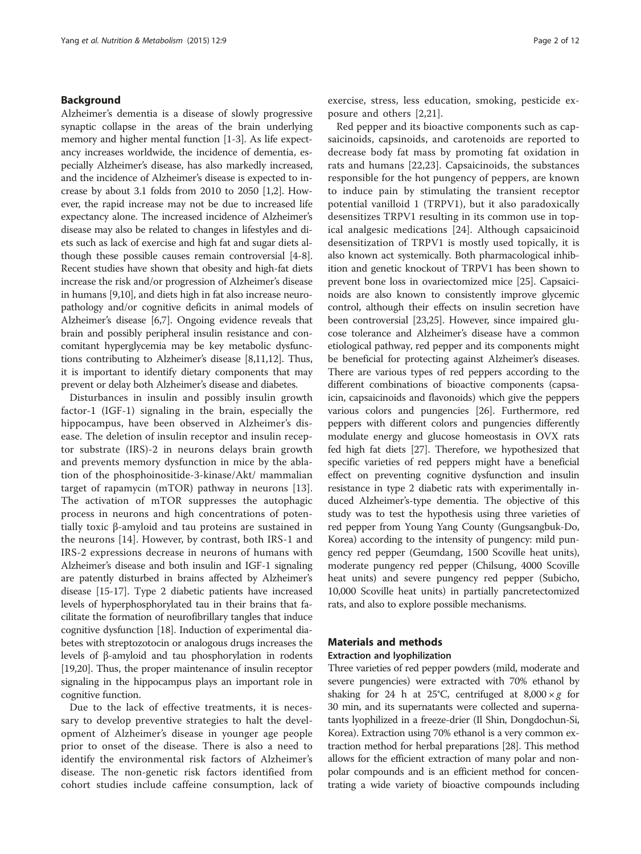### Background

Alzheimer's dementia is a disease of slowly progressive synaptic collapse in the areas of the brain underlying memory and higher mental function [[1-3\]](#page-10-0). As life expectancy increases worldwide, the incidence of dementia, especially Alzheimer's disease, has also markedly increased, and the incidence of Alzheimer's disease is expected to increase by about 3.1 folds from 2010 to 2050 [\[1,2\]](#page-10-0). However, the rapid increase may not be due to increased life expectancy alone. The increased incidence of Alzheimer's disease may also be related to changes in lifestyles and diets such as lack of exercise and high fat and sugar diets although these possible causes remain controversial [\[4](#page-10-0)-[8](#page-11-0)]. Recent studies have shown that obesity and high-fat diets increase the risk and/or progression of Alzheimer's disease in humans [[9,10](#page-11-0)], and diets high in fat also increase neuropathology and/or cognitive deficits in animal models of Alzheimer's disease [\[6,7](#page-10-0)]. Ongoing evidence reveals that brain and possibly peripheral insulin resistance and concomitant hyperglycemia may be key metabolic dysfunctions contributing to Alzheimer's disease [[8,11,12\]](#page-11-0). Thus, it is important to identify dietary components that may prevent or delay both Alzheimer's disease and diabetes.

Disturbances in insulin and possibly insulin growth factor-1 (IGF-1) signaling in the brain, especially the hippocampus, have been observed in Alzheimer's disease. The deletion of insulin receptor and insulin receptor substrate (IRS)-2 in neurons delays brain growth and prevents memory dysfunction in mice by the ablation of the phosphoinositide-3-kinase/Akt/ mammalian target of rapamycin (mTOR) pathway in neurons [\[13](#page-11-0)]. The activation of mTOR suppresses the autophagic process in neurons and high concentrations of potentially toxic β-amyloid and tau proteins are sustained in the neurons [\[14](#page-11-0)]. However, by contrast, both IRS-1 and IRS-2 expressions decrease in neurons of humans with Alzheimer's disease and both insulin and IGF-1 signaling are patently disturbed in brains affected by Alzheimer's disease [\[15-17](#page-11-0)]. Type 2 diabetic patients have increased levels of hyperphosphorylated tau in their brains that facilitate the formation of neurofibrillary tangles that induce cognitive dysfunction [[18](#page-11-0)]. Induction of experimental diabetes with streptozotocin or analogous drugs increases the levels of β-amyloid and tau phosphorylation in rodents [[19,20](#page-11-0)]. Thus, the proper maintenance of insulin receptor signaling in the hippocampus plays an important role in cognitive function.

Due to the lack of effective treatments, it is necessary to develop preventive strategies to halt the development of Alzheimer's disease in younger age people prior to onset of the disease. There is also a need to identify the environmental risk factors of Alzheimer's disease. The non-genetic risk factors identified from cohort studies include caffeine consumption, lack of exercise, stress, less education, smoking, pesticide exposure and others [\[2](#page-10-0)[,21](#page-11-0)].

Red pepper and its bioactive components such as capsaicinoids, capsinoids, and carotenoids are reported to decrease body fat mass by promoting fat oxidation in rats and humans [[22,23\]](#page-11-0). Capsaicinoids, the substances responsible for the hot pungency of peppers, are known to induce pain by stimulating the transient receptor potential vanilloid 1 (TRPV1), but it also paradoxically desensitizes TRPV1 resulting in its common use in topical analgesic medications [[24\]](#page-11-0). Although capsaicinoid desensitization of TRPV1 is mostly used topically, it is also known act systemically. Both pharmacological inhibition and genetic knockout of TRPV1 has been shown to prevent bone loss in ovariectomized mice [\[25\]](#page-11-0). Capsaicinoids are also known to consistently improve glycemic control, although their effects on insulin secretion have been controversial [[23,25](#page-11-0)]. However, since impaired glucose tolerance and Alzheimer's disease have a common etiological pathway, red pepper and its components might be beneficial for protecting against Alzheimer's diseases. There are various types of red peppers according to the different combinations of bioactive components (capsaicin, capsaicinoids and flavonoids) which give the peppers various colors and pungencies [\[26\]](#page-11-0). Furthermore, red peppers with different colors and pungencies differently modulate energy and glucose homeostasis in OVX rats fed high fat diets [[27\]](#page-11-0). Therefore, we hypothesized that specific varieties of red peppers might have a beneficial effect on preventing cognitive dysfunction and insulin resistance in type 2 diabetic rats with experimentally induced Alzheimer's-type dementia. The objective of this study was to test the hypothesis using three varieties of red pepper from Young Yang County (Gungsangbuk-Do, Korea) according to the intensity of pungency: mild pungency red pepper (Geumdang, 1500 Scoville heat units), moderate pungency red pepper (Chilsung, 4000 Scoville heat units) and severe pungency red pepper (Subicho, 10,000 Scoville heat units) in partially pancretectomized rats, and also to explore possible mechanisms.

# Materials and methods

# Extraction and lyophilization

Three varieties of red pepper powders (mild, moderate and severe pungencies) were extracted with 70% ethanol by shaking for 24 h at 25°C, centrifuged at  $8,000 \times g$  for 30 min, and its supernatants were collected and supernatants lyophilized in a freeze-drier (Il Shin, Dongdochun-Si, Korea). Extraction using 70% ethanol is a very common extraction method for herbal preparations [[28](#page-11-0)]. This method allows for the efficient extraction of many polar and nonpolar compounds and is an efficient method for concentrating a wide variety of bioactive compounds including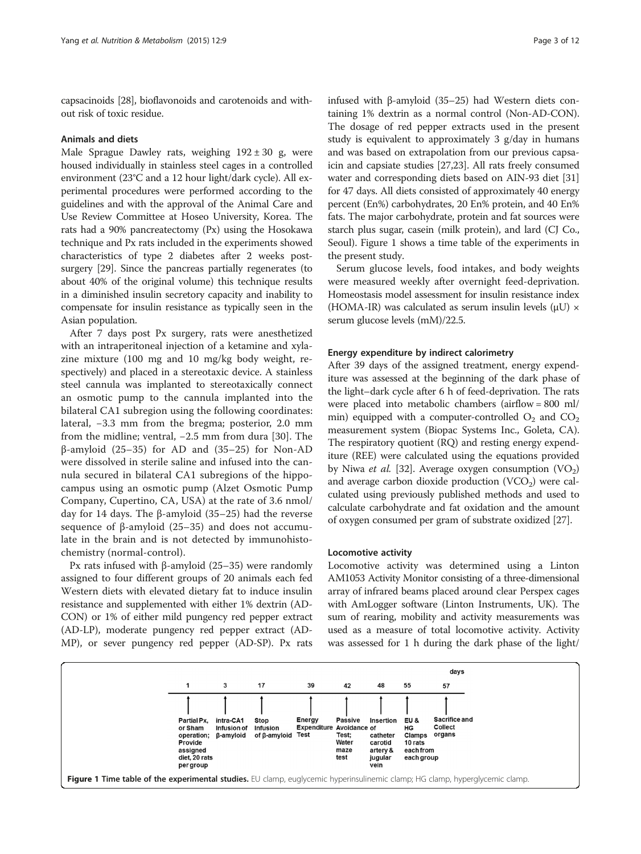capsacinoids [\[28\]](#page-11-0), bioflavonoids and carotenoids and without risk of toxic residue.

# Animals and diets

Male Sprague Dawley rats, weighing  $192 \pm 30$  g, were housed individually in stainless steel cages in a controlled environment (23°C and a 12 hour light/dark cycle). All experimental procedures were performed according to the guidelines and with the approval of the Animal Care and Use Review Committee at Hoseo University, Korea. The rats had a 90% pancreatectomy (Px) using the Hosokawa technique and Px rats included in the experiments showed characteristics of type 2 diabetes after 2 weeks postsurgery [\[29\]](#page-11-0). Since the pancreas partially regenerates (to about 40% of the original volume) this technique results in a diminished insulin secretory capacity and inability to compensate for insulin resistance as typically seen in the Asian population.

After 7 days post Px surgery, rats were anesthetized with an intraperitoneal injection of a ketamine and xylazine mixture (100 mg and 10 mg/kg body weight, respectively) and placed in a stereotaxic device. A stainless steel cannula was implanted to stereotaxically connect an osmotic pump to the cannula implanted into the bilateral CA1 subregion using the following coordinates: lateral, −3.3 mm from the bregma; posterior, 2.0 mm from the midline; ventral, −2.5 mm from dura [[30\]](#page-11-0). The β-amyloid (25–35) for AD and (35–25) for Non-AD were dissolved in sterile saline and infused into the cannula secured in bilateral CA1 subregions of the hippocampus using an osmotic pump (Alzet Osmotic Pump Company, Cupertino, CA, USA) at the rate of 3.6 nmol/ day for 14 days. The β-amyloid (35–25) had the reverse sequence of β-amyloid (25–35) and does not accumulate in the brain and is not detected by immunohistochemistry (normal-control).

Px rats infused with β-amyloid (25–35) were randomly assigned to four different groups of 20 animals each fed Western diets with elevated dietary fat to induce insulin resistance and supplemented with either 1% dextrin (AD-CON) or 1% of either mild pungency red pepper extract (AD-LP), moderate pungency red pepper extract (AD-MP), or sever pungency red pepper (AD-SP). Px rats infused with β-amyloid (35–25) had Western diets containing 1% dextrin as a normal control (Non-AD-CON). The dosage of red pepper extracts used in the present study is equivalent to approximately 3 g/day in humans and was based on extrapolation from our previous capsaicin and capsiate studies [\[27,23\]](#page-11-0). All rats freely consumed water and corresponding diets based on AIN-93 diet [[31](#page-11-0)] for 47 days. All diets consisted of approximately 40 energy percent (En%) carbohydrates, 20 En% protein, and 40 En% fats. The major carbohydrate, protein and fat sources were starch plus sugar, casein (milk protein), and lard (CJ Co., Seoul). Figure 1 shows a time table of the experiments in the present study.

Serum glucose levels, food intakes, and body weights were measured weekly after overnight feed-deprivation. Homeostasis model assessment for insulin resistance index (HOMA-IR) was calculated as serum insulin levels ( $\mu$ U)  $\times$ serum glucose levels (mM)/22.5.

#### Energy expenditure by indirect calorimetry

After 39 days of the assigned treatment, energy expenditure was assessed at the beginning of the dark phase of the light–dark cycle after 6 h of feed-deprivation. The rats were placed into metabolic chambers (airflow = 800 ml/ min) equipped with a computer-controlled  $O_2$  and  $CO_2$ measurement system (Biopac Systems Inc., Goleta, CA). The respiratory quotient (RQ) and resting energy expenditure (REE) were calculated using the equations provided by Niwa *et al.* [[32](#page-11-0)]. Average oxygen consumption  $(VO_2)$ and average carbon dioxide production  $(VCO<sub>2</sub>)$  were calculated using previously published methods and used to calculate carbohydrate and fat oxidation and the amount of oxygen consumed per gram of substrate oxidized [\[27\]](#page-11-0).

#### Locomotive activity

Locomotive activity was determined using a Linton AM1053 Activity Monitor consisting of a three-dimensional array of infrared beams placed around clear Perspex cages with AmLogger software (Linton Instruments, UK). The sum of rearing, mobility and activity measurements was used as a measure of total locomotive activity. Activity was assessed for 1 h during the dark phase of the light/

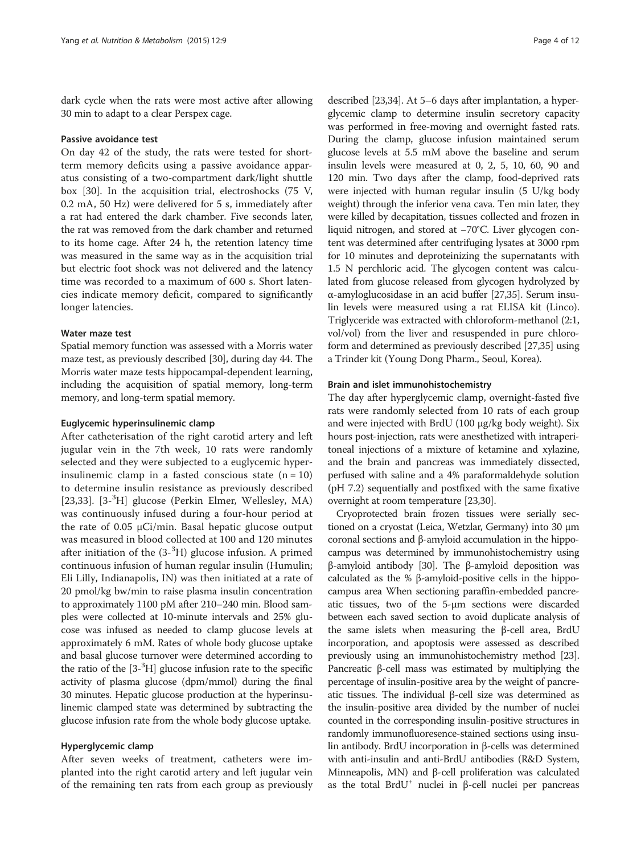dark cycle when the rats were most active after allowing 30 min to adapt to a clear Perspex cage.

# Passive avoidance test

On day 42 of the study, the rats were tested for shortterm memory deficits using a passive avoidance apparatus consisting of a two-compartment dark/light shuttle box [[30\]](#page-11-0). In the acquisition trial, electroshocks (75 V, 0.2 mA, 50 Hz) were delivered for 5 s, immediately after a rat had entered the dark chamber. Five seconds later, the rat was removed from the dark chamber and returned to its home cage. After 24 h, the retention latency time was measured in the same way as in the acquisition trial but electric foot shock was not delivered and the latency time was recorded to a maximum of 600 s. Short latencies indicate memory deficit, compared to significantly longer latencies.

# Water maze test

Spatial memory function was assessed with a Morris water maze test, as previously described [\[30\]](#page-11-0), during day 44. The Morris water maze tests hippocampal-dependent learning, including the acquisition of spatial memory, long-term memory, and long-term spatial memory.

#### Euglycemic hyperinsulinemic clamp

After catheterisation of the right carotid artery and left jugular vein in the 7th week, 10 rats were randomly selected and they were subjected to a euglycemic hyperinsulinemic clamp in a fasted conscious state  $(n = 10)$ to determine insulin resistance as previously described [[23,33](#page-11-0)]. [3-<sup>3</sup>H] glucose (Perkin Elmer, Wellesley, MA) was continuously infused during a four-hour period at the rate of 0.05  $\mu$ Ci/min. Basal hepatic glucose output was measured in blood collected at 100 and 120 minutes after initiation of the  $(3\text{-}{}^{3}\text{H})$  glucose infusion. A primed continuous infusion of human regular insulin (Humulin; Eli Lilly, Indianapolis, IN) was then initiated at a rate of 20 pmol/kg bw/min to raise plasma insulin concentration to approximately 1100 pM after 210–240 min. Blood samples were collected at 10-minute intervals and 25% glucose was infused as needed to clamp glucose levels at approximately 6 mM. Rates of whole body glucose uptake and basal glucose turnover were determined according to the ratio of the [3-<sup>3</sup>H] glucose infusion rate to the specific activity of plasma glucose (dpm/mmol) during the final 30 minutes. Hepatic glucose production at the hyperinsulinemic clamped state was determined by subtracting the glucose infusion rate from the whole body glucose uptake.

# Hyperglycemic clamp

After seven weeks of treatment, catheters were implanted into the right carotid artery and left jugular vein of the remaining ten rats from each group as previously

described [\[23,34\]](#page-11-0). At 5–6 days after implantation, a hyperglycemic clamp to determine insulin secretory capacity was performed in free-moving and overnight fasted rats. During the clamp, glucose infusion maintained serum glucose levels at 5.5 mM above the baseline and serum insulin levels were measured at 0, 2, 5, 10, 60, 90 and 120 min. Two days after the clamp, food-deprived rats were injected with human regular insulin (5 U/kg body weight) through the inferior vena cava. Ten min later, they were killed by decapitation, tissues collected and frozen in liquid nitrogen, and stored at −70°C. Liver glycogen content was determined after centrifuging lysates at 3000 rpm for 10 minutes and deproteinizing the supernatants with 1.5 N perchloric acid. The glycogen content was calculated from glucose released from glycogen hydrolyzed by α-amyloglucosidase in an acid buffer [\[27,35\]](#page-11-0). Serum insulin levels were measured using a rat ELISA kit (Linco). Triglyceride was extracted with chloroform-methanol (2:1, vol/vol) from the liver and resuspended in pure chloroform and determined as previously described [\[27,35](#page-11-0)] using a Trinder kit (Young Dong Pharm., Seoul, Korea).

#### Brain and islet immunohistochemistry

The day after hyperglycemic clamp, overnight-fasted five rats were randomly selected from 10 rats of each group and were injected with BrdU (100 μg/kg body weight). Six hours post-injection, rats were anesthetized with intraperitoneal injections of a mixture of ketamine and xylazine, and the brain and pancreas was immediately dissected, perfused with saline and a 4% paraformaldehyde solution (pH 7.2) sequentially and postfixed with the same fixative overnight at room temperature [[23,30\]](#page-11-0).

Cryoprotected brain frozen tissues were serially sectioned on a cryostat (Leica, Wetzlar, Germany) into 30 μm coronal sections and β-amyloid accumulation in the hippocampus was determined by immunohistochemistry using β-amyloid antibody [\[30\]](#page-11-0). The β-amyloid deposition was calculated as the % β-amyloid-positive cells in the hippocampus area When sectioning paraffin-embedded pancreatic tissues, two of the 5-μm sections were discarded between each saved section to avoid duplicate analysis of the same islets when measuring the β-cell area, BrdU incorporation, and apoptosis were assessed as described previously using an immunohistochemistry method [\[23](#page-11-0)]. Pancreatic β-cell mass was estimated by multiplying the percentage of insulin-positive area by the weight of pancreatic tissues. The individual β-cell size was determined as the insulin-positive area divided by the number of nuclei counted in the corresponding insulin-positive structures in randomly immunofluoresence-stained sections using insulin antibody. BrdU incorporation in β-cells was determined with anti-insulin and anti-BrdU antibodies (R&D System, Minneapolis, MN) and β-cell proliferation was calculated as the total BrdU<sup>+</sup> nuclei in β-cell nuclei per pancreas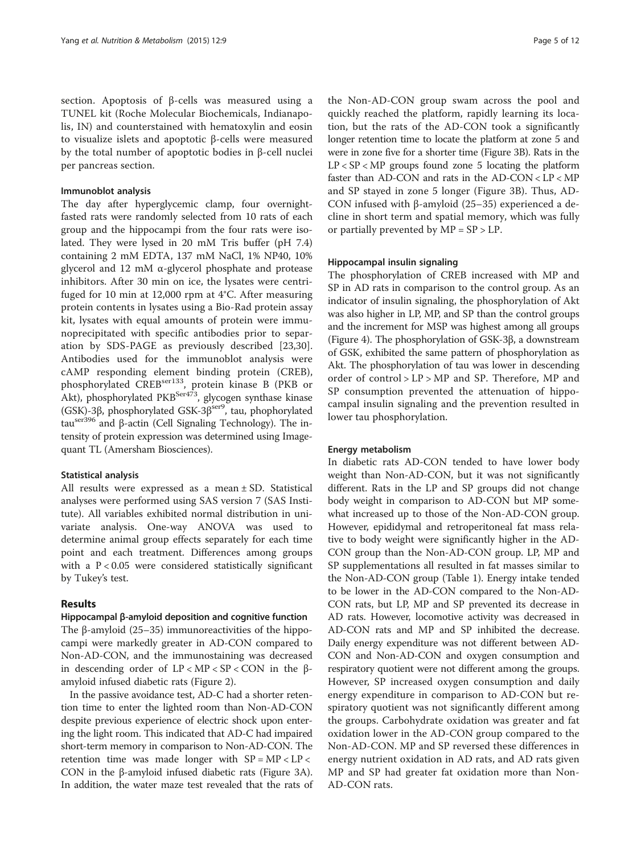section. Apoptosis of β-cells was measured using a TUNEL kit (Roche Molecular Biochemicals, Indianapolis, IN) and counterstained with hematoxylin and eosin to visualize islets and apoptotic β-cells were measured by the total number of apoptotic bodies in β-cell nuclei per pancreas section.

#### Immunoblot analysis

The day after hyperglycemic clamp, four overnightfasted rats were randomly selected from 10 rats of each group and the hippocampi from the four rats were isolated. They were lysed in 20 mM Tris buffer (pH 7.4) containing 2 mM EDTA, 137 mM NaCl, 1% NP40, 10% glycerol and 12 mM α-glycerol phosphate and protease inhibitors. After 30 min on ice, the lysates were centrifuged for 10 min at 12,000 rpm at 4°C. After measuring protein contents in lysates using a Bio-Rad protein assay kit, lysates with equal amounts of protein were immunoprecipitated with specific antibodies prior to separation by SDS-PAGE as previously described [[23,30](#page-11-0)]. Antibodies used for the immunoblot analysis were cAMP responding element binding protein (CREB), phosphorylated CREB<sup>ser133</sup>, protein kinase B (PKB or Akt), phosphorylated PKB<sup>Ser473</sup>, glycogen synthase kinase (GSK)-3β, phosphorylated GSK-3βser9, tau, phophorylated tau<sup>ser396</sup> and β-actin (Cell Signaling Technology). The intensity of protein expression was determined using Imagequant TL (Amersham Biosciences).

#### Statistical analysis

All results were expressed as a mean ± SD. Statistical analyses were performed using SAS version 7 (SAS Institute). All variables exhibited normal distribution in univariate analysis. One-way ANOVA was used to determine animal group effects separately for each time point and each treatment. Differences among groups with a  $P < 0.05$  were considered statistically significant by Tukey's test.

# Results

#### Hippocampal β-amyloid deposition and cognitive function

The β-amyloid (25–35) immunoreactivities of the hippocampi were markedly greater in AD-CON compared to Non-AD-CON, and the immunostaining was decreased in descending order of LP < MP < SP < CON in the βamyloid infused diabetic rats (Figure [2](#page-5-0)).

In the passive avoidance test, AD-C had a shorter retention time to enter the lighted room than Non-AD-CON despite previous experience of electric shock upon entering the light room. This indicated that AD-C had impaired short-term memory in comparison to Non-AD-CON. The retention time was made longer with  $SP = MP < LP <$ CON in the β-amyloid infused diabetic rats (Figure [3](#page-6-0)A). In addition, the water maze test revealed that the rats of

the Non-AD-CON group swam across the pool and quickly reached the platform, rapidly learning its location, but the rats of the AD-CON took a significantly longer retention time to locate the platform at zone 5 and were in zone five for a shorter time (Figure [3](#page-6-0)B). Rats in the  $LP < SP < MP$  groups found zone 5 locating the platform faster than AD-CON and rats in the AD-CON < LP < MP and SP stayed in zone 5 longer (Figure [3B](#page-6-0)). Thus, AD-CON infused with β-amyloid (25–35) experienced a decline in short term and spatial memory, which was fully or partially prevented by  $MP = SP > LP$ .

# Hippocampal insulin signaling

The phosphorylation of CREB increased with MP and SP in AD rats in comparison to the control group. As an indicator of insulin signaling, the phosphorylation of Akt was also higher in LP, MP, and SP than the control groups and the increment for MSP was highest among all groups (Figure [4\)](#page-7-0). The phosphorylation of GSK-3β, a downstream of GSK, exhibited the same pattern of phosphorylation as Akt. The phosphorylation of tau was lower in descending order of control > LP > MP and SP. Therefore, MP and SP consumption prevented the attenuation of hippocampal insulin signaling and the prevention resulted in lower tau phosphorylation.

#### Energy metabolism

In diabetic rats AD-CON tended to have lower body weight than Non-AD-CON, but it was not significantly different. Rats in the LP and SP groups did not change body weight in comparison to AD-CON but MP somewhat increased up to those of the Non-AD-CON group. However, epididymal and retroperitoneal fat mass relative to body weight were significantly higher in the AD-CON group than the Non-AD-CON group. LP, MP and SP supplementations all resulted in fat masses similar to the Non-AD-CON group (Table [1](#page-7-0)). Energy intake tended to be lower in the AD-CON compared to the Non-AD-CON rats, but LP, MP and SP prevented its decrease in AD rats. However, locomotive activity was decreased in AD-CON rats and MP and SP inhibited the decrease. Daily energy expenditure was not different between AD-CON and Non-AD-CON and oxygen consumption and respiratory quotient were not different among the groups. However, SP increased oxygen consumption and daily energy expenditure in comparison to AD-CON but respiratory quotient was not significantly different among the groups. Carbohydrate oxidation was greater and fat oxidation lower in the AD-CON group compared to the Non-AD-CON. MP and SP reversed these differences in energy nutrient oxidation in AD rats, and AD rats given MP and SP had greater fat oxidation more than Non-AD-CON rats.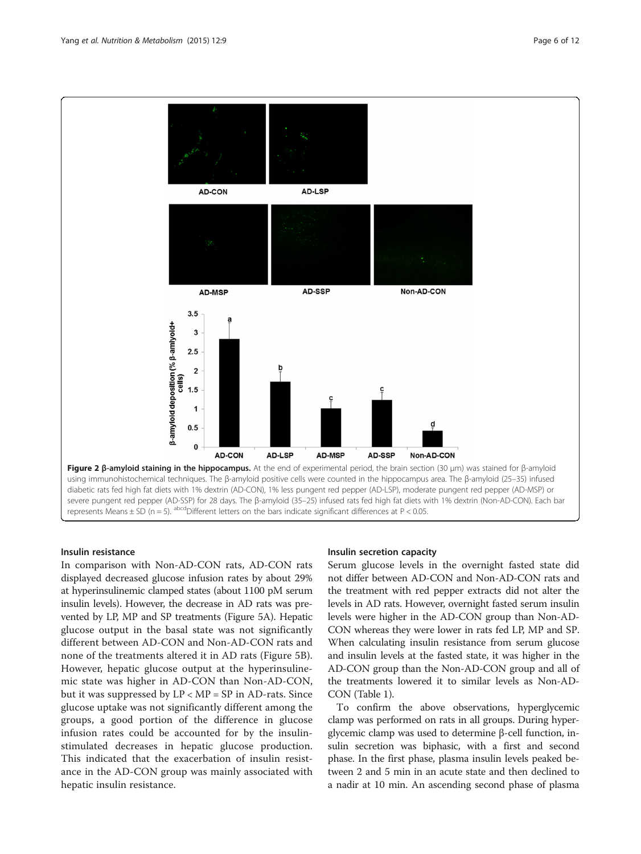<span id="page-5-0"></span>

# Insulin resistance

In comparison with Non-AD-CON rats, AD-CON rats displayed decreased glucose infusion rates by about 29% at hyperinsulinemic clamped states (about 1100 pM serum insulin levels). However, the decrease in AD rats was prevented by LP, MP and SP treatments (Figure [5A](#page-8-0)). Hepatic glucose output in the basal state was not significantly different between AD-CON and Non-AD-CON rats and none of the treatments altered it in AD rats (Figure [5](#page-8-0)B). However, hepatic glucose output at the hyperinsulinemic state was higher in AD-CON than Non-AD-CON, but it was suppressed by  $LP < MP = SP$  in AD-rats. Since glucose uptake was not significantly different among the groups, a good portion of the difference in glucose infusion rates could be accounted for by the insulinstimulated decreases in hepatic glucose production. This indicated that the exacerbation of insulin resistance in the AD-CON group was mainly associated with hepatic insulin resistance.

#### Insulin secretion capacity

Serum glucose levels in the overnight fasted state did not differ between AD-CON and Non-AD-CON rats and the treatment with red pepper extracts did not alter the levels in AD rats. However, overnight fasted serum insulin levels were higher in the AD-CON group than Non-AD-CON whereas they were lower in rats fed LP, MP and SP. When calculating insulin resistance from serum glucose and insulin levels at the fasted state, it was higher in the AD-CON group than the Non-AD-CON group and all of the treatments lowered it to similar levels as Non-AD-CON (Table [1](#page-7-0)).

To confirm the above observations, hyperglycemic clamp was performed on rats in all groups. During hyperglycemic clamp was used to determine β-cell function, insulin secretion was biphasic, with a first and second phase. In the first phase, plasma insulin levels peaked between 2 and 5 min in an acute state and then declined to a nadir at 10 min. An ascending second phase of plasma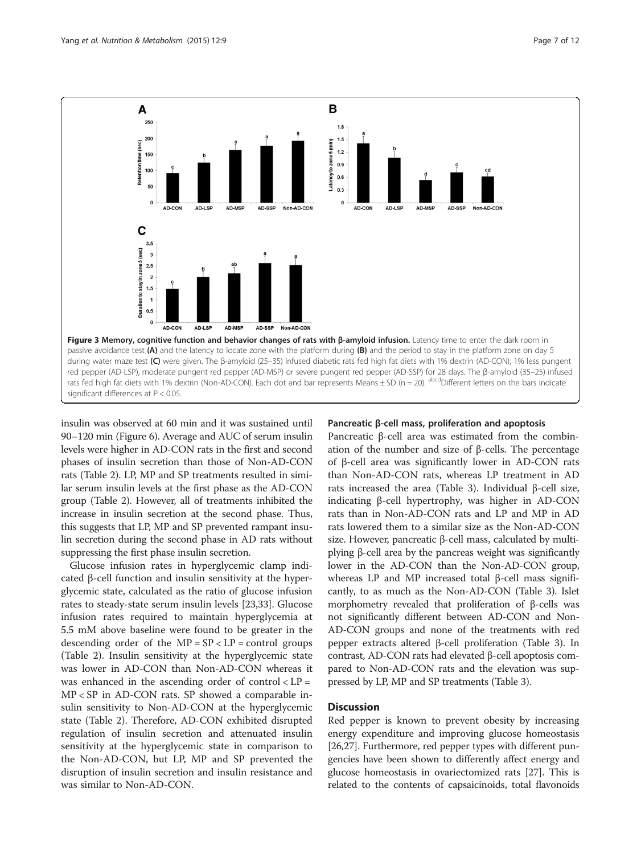<span id="page-6-0"></span>

insulin was observed at 60 min and it was sustained until 90–120 min (Figure [6](#page-8-0)). Average and AUC of serum insulin levels were higher in AD-CON rats in the first and second phases of insulin secretion than those of Non-AD-CON rats (Table [2](#page-9-0)). LP, MP and SP treatments resulted in similar serum insulin levels at the first phase as the AD-CON group (Table [2](#page-9-0)). However, all of treatments inhibited the increase in insulin secretion at the second phase. Thus, this suggests that LP, MP and SP prevented rampant insulin secretion during the second phase in AD rats without suppressing the first phase insulin secretion.

Glucose infusion rates in hyperglycemic clamp indicated β-cell function and insulin sensitivity at the hyperglycemic state, calculated as the ratio of glucose infusion rates to steady-state serum insulin levels [[23,33\]](#page-11-0). Glucose infusion rates required to maintain hyperglycemia at 5.5 mM above baseline were found to be greater in the descending order of the  $MP = SP < LP = control$  groups (Table [2\)](#page-9-0). Insulin sensitivity at the hyperglycemic state was lower in AD-CON than Non-AD-CON whereas it was enhanced in the ascending order of control  $\langle LP =$ MP < SP in AD-CON rats. SP showed a comparable insulin sensitivity to Non-AD-CON at the hyperglycemic state (Table [2](#page-9-0)). Therefore, AD-CON exhibited disrupted regulation of insulin secretion and attenuated insulin sensitivity at the hyperglycemic state in comparison to the Non-AD-CON, but LP, MP and SP prevented the disruption of insulin secretion and insulin resistance and was similar to Non-AD-CON.

#### Pancreatic β-cell mass, proliferation and apoptosis

Pancreatic β-cell area was estimated from the combination of the number and size of β-cells. The percentage of β-cell area was significantly lower in AD-CON rats than Non-AD-CON rats, whereas LP treatment in AD rats increased the area (Table [3\)](#page-9-0). Individual β-cell size, indicating β-cell hypertrophy, was higher in AD-CON rats than in Non-AD-CON rats and LP and MP in AD rats lowered them to a similar size as the Non-AD-CON size. However, pancreatic β-cell mass, calculated by multiplying β-cell area by the pancreas weight was significantly lower in the AD-CON than the Non-AD-CON group, whereas LP and MP increased total β-cell mass significantly, to as much as the Non-AD-CON (Table [3\)](#page-9-0). Islet morphometry revealed that proliferation of β-cells was not significantly different between AD-CON and Non-AD-CON groups and none of the treatments with red pepper extracts altered β-cell proliferation (Table [3](#page-9-0)). In contrast, AD-CON rats had elevated β-cell apoptosis compared to Non-AD-CON rats and the elevation was suppressed by LP, MP and SP treatments (Table [3](#page-9-0)).

# **Discussion**

Red pepper is known to prevent obesity by increasing energy expenditure and improving glucose homeostasis [[26](#page-11-0),[27](#page-11-0)]. Furthermore, red pepper types with different pungencies have been shown to differently affect energy and glucose homeostasis in ovariectomized rats [\[27\]](#page-11-0). This is related to the contents of capsaicinoids, total flavonoids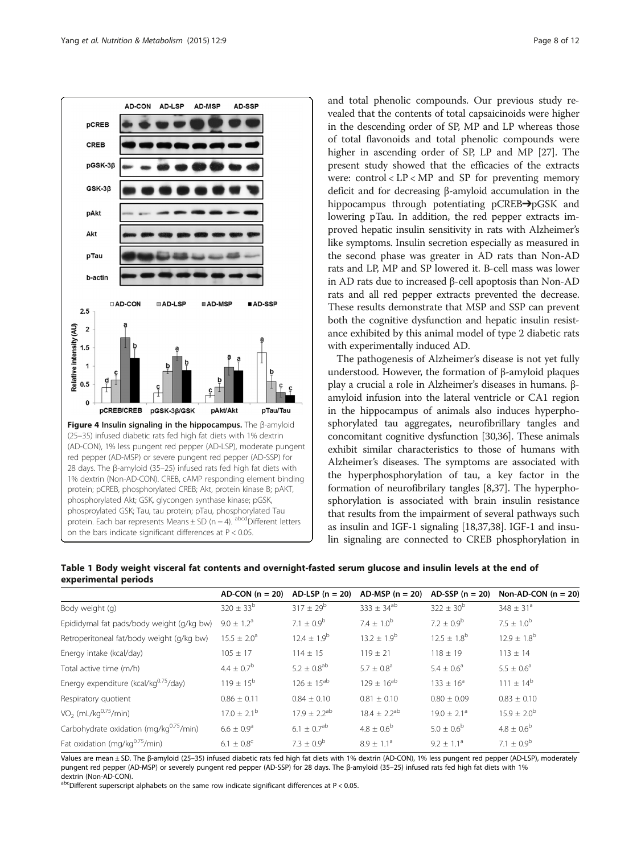<span id="page-7-0"></span>

and total phenolic compounds. Our previous study revealed that the contents of total capsaicinoids were higher in the descending order of SP, MP and LP whereas those of total flavonoids and total phenolic compounds were higher in ascending order of SP, LP and MP [\[27\]](#page-11-0). The present study showed that the efficacies of the extracts were:  $control < LP < MP$  and SP for preventing memory deficit and for decreasing β-amyloid accumulation in the hippocampus through potentiating pCREB➔pGSK and lowering pTau. In addition, the red pepper extracts improved hepatic insulin sensitivity in rats with Alzheimer's like symptoms. Insulin secretion especially as measured in the second phase was greater in AD rats than Non-AD rats and LP, MP and SP lowered it. Β-cell mass was lower in AD rats due to increased β-cell apoptosis than Non-AD rats and all red pepper extracts prevented the decrease. These results demonstrate that MSP and SSP can prevent both the cognitive dysfunction and hepatic insulin resistance exhibited by this animal model of type 2 diabetic rats with experimentally induced AD.

The pathogenesis of Alzheimer's disease is not yet fully understood. However, the formation of β-amyloid plaques play a crucial a role in Alzheimer's diseases in humans. βamyloid infusion into the lateral ventricle or CA1 region in the hippocampus of animals also induces hyperphosphorylated tau aggregates, neurofibrillary tangles and concomitant cognitive dysfunction [[30](#page-11-0),[36](#page-11-0)]. These animals exhibit similar characteristics to those of humans with Alzheimer's diseases. The symptoms are associated with the hyperphosphorylation of tau, a key factor in the formation of neurofibrilary tangles [\[8,37\]](#page-11-0). The hyperphosphorylation is associated with brain insulin resistance that results from the impairment of several pathways such as insulin and IGF-1 signaling [\[18,37,38](#page-11-0)]. IGF-1 and insulin signaling are connected to CREB phosphorylation in

|                                                     | $AD-CON (n = 20)$          | $AD-LSP (n = 20)$          | $AD-MSP (n = 20)$     | AD-SSP $(n = 20)$      | Non-AD-CON ( $n = 20$ )    |
|-----------------------------------------------------|----------------------------|----------------------------|-----------------------|------------------------|----------------------------|
| Body weight (g)                                     | $320 \pm 33^{b}$           | $317 \pm 29^{b}$           | $333 \pm 34^{ab}$     | $322 \pm 30^{6}$       | $348 \pm 31^{a}$           |
| Epididymal fat pads/body weight (g/kg bw)           | $9.0 \pm 1.2^{\circ}$      | 7.1 $\pm 0.9^b$            | $7.4 \pm 1.0^{b}$     | $7.2 \pm 0.9^{\rm b}$  | $7.5 \pm 1.0^b$            |
| Retroperitoneal fat/body weight (g/kg bw)           | $15.5 \pm 2.0^{\circ}$     | $12.4 \pm 1.9^b$           | $13.2 \pm 1.9^b$      | $12.5 \pm 1.8^{\circ}$ | $12.9 \pm 1.8^{b}$         |
| Energy intake (kcal/day)                            | $105 \pm 17$               | $114 \pm 15$               | $119 \pm 21$          | $118 \pm 19$           | $113 \pm 14$               |
| Total active time (m/h)                             | $4.4 \pm 0.7^{\rm b}$      | $5.2 \pm 0.8^{ab}$         | $5.7 \pm 0.8^{\circ}$ | $5.4 \pm 0.6^{\circ}$  | $5.5 \pm 0.6^{\circ}$      |
| Energy expenditure (kcal/kg <sup>0.75</sup> /day)   | $119 \pm 15^{b}$           | $126 \pm 15^{ab}$          | $129 \pm 16^{ab}$     | $133 \pm 16^a$         | $111 \pm 14^b$             |
| Respiratory quotient                                | $0.86 \pm 0.11$            | $0.84 \pm 0.10$            | $0.81 \pm 0.10$       | $0.80 \pm 0.09$        | $0.83 \pm 0.10$            |
| $VO2 (mL/kg0.75/min)$                               | $17.0 \pm 2.1^{\rm b}$     | $17.9 \pm 2.2^{ab}$        | $18.4 \pm 2.2^{ab}$   | $19.0 \pm 2.1^a$       | $15.9 \pm 2.0^{b}$         |
| Carbohydrate oxidation (mg/kg <sup>0.75</sup> /min) | $6.6 \pm 0.9$ <sup>a</sup> | $6.1 \pm 0.7^{ab}$         | $4.8 \pm 0.6^{\circ}$ | $5.0 \pm 0.6^b$        | $4.8 \pm 0.6^{\rm b}$      |
| Fat oxidation (mg/kg <sup>0.75</sup> /min)          | $6.1 \pm 0.8^{\circ}$      | 7.3 $\pm$ 0.9 <sup>b</sup> | $8.9 + 1.1a$          | $9.2 + 1.1a$           | 7.1 $\pm$ 0.9 <sup>b</sup> |

Table 1 Body weight visceral fat contents and overnight-fasted serum glucose and insulin levels at the end of experimental periods

Values are mean ± SD. The β-amyloid (25–35) infused diabetic rats fed high fat diets with 1% dextrin (AD-CON), 1% less pungent red pepper (AD-LSP), moderately pungent red pepper (AD-MSP) or severely pungent red pepper (AD-SSP) for 28 days. The β-amyloid (35–25) infused rats fed high fat diets with 1% dextrin (Non-AD-CON).

abcDifferent superscript alphabets on the same row indicate significant differences at  $P < 0.05$ .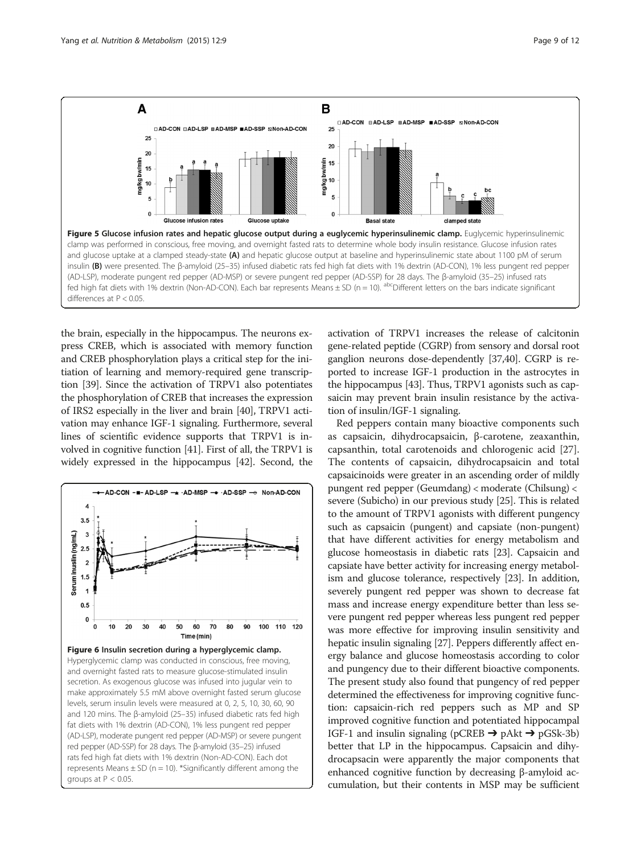<span id="page-8-0"></span>

the brain, especially in the hippocampus. The neurons express CREB, which is associated with memory function and CREB phosphorylation plays a critical step for the initiation of learning and memory-required gene transcription [[39](#page-11-0)]. Since the activation of TRPV1 also potentiates the phosphorylation of CREB that increases the expression of IRS2 especially in the liver and brain [[40](#page-11-0)], TRPV1 activation may enhance IGF-1 signaling. Furthermore, several lines of scientific evidence supports that TRPV1 is involved in cognitive function [\[41\]](#page-11-0). First of all, the TRPV1 is widely expressed in the hippocampus [\[42\]](#page-11-0). Second, the



and overnight fasted rats to measure glucose-stimulated insulin secretion. As exogenous glucose was infused into jugular vein to make approximately 5.5 mM above overnight fasted serum glucose levels, serum insulin levels were measured at 0, 2, 5, 10, 30, 60, 90 and 120 mins. The β-amyloid (25–35) infused diabetic rats fed high fat diets with 1% dextrin (AD-CON), 1% less pungent red pepper (AD-LSP), moderate pungent red pepper (AD-MSP) or severe pungent red pepper (AD-SSP) for 28 days. The β-amyloid (35–25) infused rats fed high fat diets with 1% dextrin (Non-AD-CON). Each dot represents Means  $\pm$  SD (n = 10). \*Significantly different among the groups at  $P < 0.05$ .

activation of TRPV1 increases the release of calcitonin gene-related peptide (CGRP) from sensory and dorsal root ganglion neurons dose-dependently [\[37,40](#page-11-0)]. CGRP is reported to increase IGF-1 production in the astrocytes in the hippocampus [[43](#page-11-0)]. Thus, TRPV1 agonists such as capsaicin may prevent brain insulin resistance by the activation of insulin/IGF-1 signaling.

Red peppers contain many bioactive components such as capsaicin, dihydrocapsaicin, β-carotene, zeaxanthin, capsanthin, total carotenoids and chlorogenic acid [\[27](#page-11-0)]. The contents of capsaicin, dihydrocapsaicin and total capsaicinoids were greater in an ascending order of mildly pungent red pepper (Geumdang) < moderate (Chilsung) < severe (Subicho) in our previous study [\[25](#page-11-0)]. This is related to the amount of TRPV1 agonists with different pungency such as capsaicin (pungent) and capsiate (non-pungent) that have different activities for energy metabolism and glucose homeostasis in diabetic rats [[23](#page-11-0)]. Capsaicin and capsiate have better activity for increasing energy metabolism and glucose tolerance, respectively [\[23\]](#page-11-0). In addition, severely pungent red pepper was shown to decrease fat mass and increase energy expenditure better than less severe pungent red pepper whereas less pungent red pepper was more effective for improving insulin sensitivity and hepatic insulin signaling [[27](#page-11-0)]. Peppers differently affect energy balance and glucose homeostasis according to color and pungency due to their different bioactive components. The present study also found that pungency of red pepper determined the effectiveness for improving cognitive function: capsaicin-rich red peppers such as MP and SP improved cognitive function and potentiated hippocampal IGF-1 and insulin signaling (pCREB  $\rightarrow$  pAkt  $\rightarrow$  pGSk-3b) better that LP in the hippocampus. Capsaicin and dihydrocapsacin were apparently the major components that enhanced cognitive function by decreasing β-amyloid accumulation, but their contents in MSP may be sufficient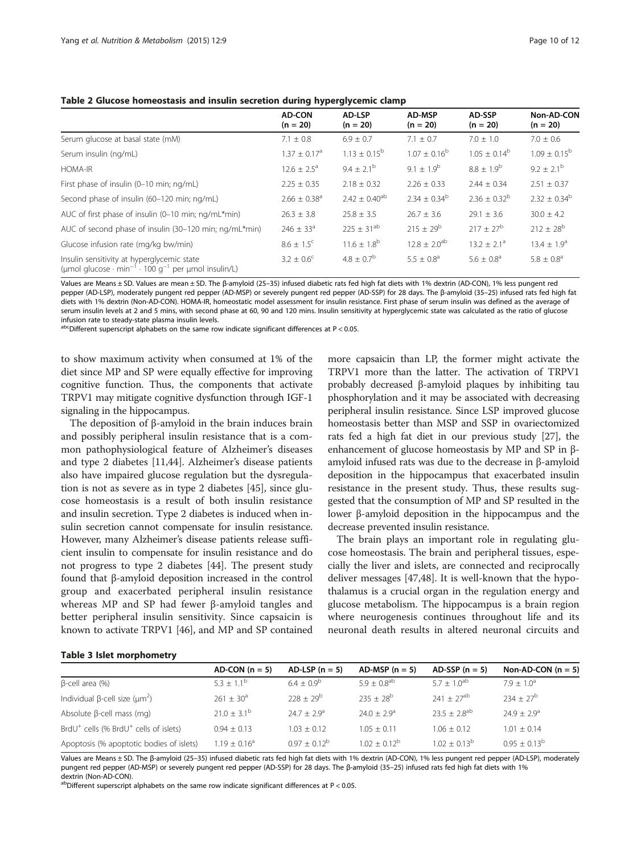|                                                                                                                           | AD-CON<br>$(n = 20)$         | AD-LSP<br>$(n = 20)$    | AD-MSP<br>$(n = 20)$  | AD-SSP<br>$(n = 20)$ | Non-AD-CON<br>$(n = 20)$ |  |
|---------------------------------------------------------------------------------------------------------------------------|------------------------------|-------------------------|-----------------------|----------------------|--------------------------|--|
| Serum glucose at basal state (mM)                                                                                         | $7.1 \pm 0.8$                | $6.9 \pm 0.7$           | $7.1 \pm 0.7$         | $7.0 \pm 1.0$        | $7.0 \pm 0.6$            |  |
| Serum insulin (ng/mL)                                                                                                     | $1.37 \pm 0.17$ <sup>a</sup> | $1.13 \pm 0.15^{\circ}$ | $1.07 + 0.16^b$       | $1.05 + 0.14^b$      | $1.09 \pm 0.15^{\rm b}$  |  |
| <b>HOMA-IR</b>                                                                                                            | $12.6 \pm 2.5^{\circ}$       | $9.4 + 2.1^{b}$         | $9.1 + 1.9^{b}$       | $8.8 + 1.9^{b}$      | $9.2 \pm 2.1^{\rm b}$    |  |
| First phase of insulin (0-10 min; ng/mL)                                                                                  | $2.25 \pm 0.35$              | $2.18 \pm 0.32$         | $2.26 \pm 0.33$       | $2.44 \pm 0.34$      | $2.51 \pm 0.37$          |  |
| Second phase of insulin (60-120 min; ng/mL)                                                                               | $2.66 \pm 0.38$ <sup>a</sup> | $2.42 \pm 0.40^{ab}$    | $2.34 \pm 0.34^b$     | $2.36 \pm 0.32^b$    | $2.32 \pm 0.34^b$        |  |
| AUC of first phase of insulin (0-10 min; ng/mL*min)                                                                       | $26.3 \pm 3.8$               | $25.8 \pm 3.5$          | $26.7 + 3.6$          | $29.1 \pm 3.6$       | $30.0 \pm 4.2$           |  |
| AUC of second phase of insulin (30-120 min; ng/mL*min)                                                                    | $246 + 33^{\circ}$           | $225 \pm 31^{ab}$       | $215 + 29^b$          | $217 + 27^b$         | $212 + 28^{b}$           |  |
| Glucose infusion rate (mg/kg bw/min)                                                                                      | $8.6 \pm 1.5^{\circ}$        | $11.6 \pm 1.8^{b}$      | $12.8 \pm 2.0^{ab}$   | $13.2 + 2.1a$        | $13.4 + 1.9a$            |  |
| Insulin sensitivity at hyperglycemic state<br>(µmol glucose · min <sup>-1</sup> · 100 g <sup>-1</sup> per µmol insulin/L) | $3.2 \pm 0.6^{\circ}$        | $4.8 \pm 0.7^{b}$       | $5.5 \pm 0.8^{\circ}$ | $5.6 \pm 0.8^a$      | $5.8 \pm 0.8^{\circ}$    |  |

<span id="page-9-0"></span>Table 2 Glucose homeostasis and insulin secretion during hyperglycemic clamp

Values are Means ± SD. Values are mean ± SD. The β-amyloid (25–35) infused diabetic rats fed high fat diets with 1% dextrin (AD-CON), 1% less pungent red pepper (AD-LSP), moderately pungent red pepper (AD-MSP) or severely pungent red pepper (AD-SSP) for 28 days. The β-amyloid (35–25) infused rats fed high fat diets with 1% dextrin (Non-AD-CON). HOMA-IR, homeostatic model assessment for insulin resistance. First phase of serum insulin was defined as the average of serum insulin levels at 2 and 5 mins, with second phase at 60, 90 and 120 mins. Insulin sensitivity at hyperglycemic state was calculated as the ratio of glucose infusion rate to steady-state plasma insulin levels.

 $a^{abc}$ Different superscript alphabets on the same row indicate significant differences at P < 0.05.

to show maximum activity when consumed at 1% of the diet since MP and SP were equally effective for improving cognitive function. Thus, the components that activate TRPV1 may mitigate cognitive dysfunction through IGF-1 signaling in the hippocampus.

The deposition of β-amyloid in the brain induces brain and possibly peripheral insulin resistance that is a common pathophysiological feature of Alzheimer's diseases and type 2 diabetes [\[11,44](#page-11-0)]. Alzheimer's disease patients also have impaired glucose regulation but the dysregulation is not as severe as in type 2 diabetes [\[45](#page-11-0)], since glucose homeostasis is a result of both insulin resistance and insulin secretion. Type 2 diabetes is induced when insulin secretion cannot compensate for insulin resistance. However, many Alzheimer's disease patients release sufficient insulin to compensate for insulin resistance and do not progress to type 2 diabetes [[44](#page-11-0)]. The present study found that β-amyloid deposition increased in the control group and exacerbated peripheral insulin resistance whereas MP and SP had fewer β-amyloid tangles and better peripheral insulin sensitivity. Since capsaicin is known to activate TRPV1 [[46](#page-11-0)], and MP and SP contained more capsaicin than LP, the former might activate the TRPV1 more than the latter. The activation of TRPV1 probably decreased β-amyloid plaques by inhibiting tau phosphorylation and it may be associated with decreasing peripheral insulin resistance. Since LSP improved glucose homeostasis better than MSP and SSP in ovariectomized rats fed a high fat diet in our previous study [\[27\]](#page-11-0), the enhancement of glucose homeostasis by MP and SP in βamyloid infused rats was due to the decrease in β-amyloid deposition in the hippocampus that exacerbated insulin resistance in the present study. Thus, these results suggested that the consumption of MP and SP resulted in the lower β-amyloid deposition in the hippocampus and the decrease prevented insulin resistance.

The brain plays an important role in regulating glucose homeostasis. The brain and peripheral tissues, especially the liver and islets, are connected and reciprocally deliver messages [\[47,48\]](#page-11-0). It is well-known that the hypothalamus is a crucial organ in the regulation energy and glucose metabolism. The hippocampus is a brain region where neurogenesis continues throughout life and its neuronal death results in altered neuronal circuits and

#### Table 3 Islet morphometry

|                                                               | AD-CON $(n = 5)$ | AD-LSP $(n = 5)$   | $AD-MSP(n = 5)$ | AD-SSP $(n = 5)$         | Non-AD-CON $(n = 5)$ |
|---------------------------------------------------------------|------------------|--------------------|-----------------|--------------------------|----------------------|
| $\beta$ -cell area (%)                                        | $5.3 + 1.1^b$    | $6.4 + 0.9^b$      | $59 + 08^{ab}$  | $5.7 + 1.0^{ab}$         | $7.9 + 1.0a$         |
| Individual $\beta$ -cell size ( $\mu$ m <sup>2</sup> )        | $261 + 30^a$     | $228 + 29^b$       | $235 + 28^b$    | $241 + 27$ <sup>ab</sup> | $234 + 27^b$         |
| Absolute $\beta$ -cell mass (mg)                              | $21.0 + 3.1^{b}$ | $747 + 79^{\circ}$ | $74.0 + 7.9a$   | $23.5 + 2.8^{ab}$        | $74.9 + 7.9a$        |
| BrdU <sup>+</sup> cells (% BrdU <sup>+</sup> cells of islets) | $0.94 + 0.13$    | $1.03 + 0.12$      | $1.05 + 0.11$   | $1.06 + 0.12$            | $1.01 \pm 0.14$      |
| Apoptosis (% apoptotic bodies of islets)                      | $1.19 + 0.16^a$  | $0.97 + 0.12^b$    | $1.02 + 0.12^b$ | $1.02 + 0.13^{b}$        | $0.95 + 0.13^b$      |

Values are Means ± SD. The β-amyloid (25–35) infused diabetic rats fed high fat diets with 1% dextrin (AD-CON), 1% less pungent red pepper (AD-LSP), moderately pungent red pepper (AD-MSP) or severely pungent red pepper (AD-SSP) for 28 days. The β-amyloid (35–25) infused rats fed high fat diets with 1% dextrin (Non-AD-CON).

 $^{\text{ab}}$ Different superscript alphabets on the same row indicate significant differences at P < 0.05.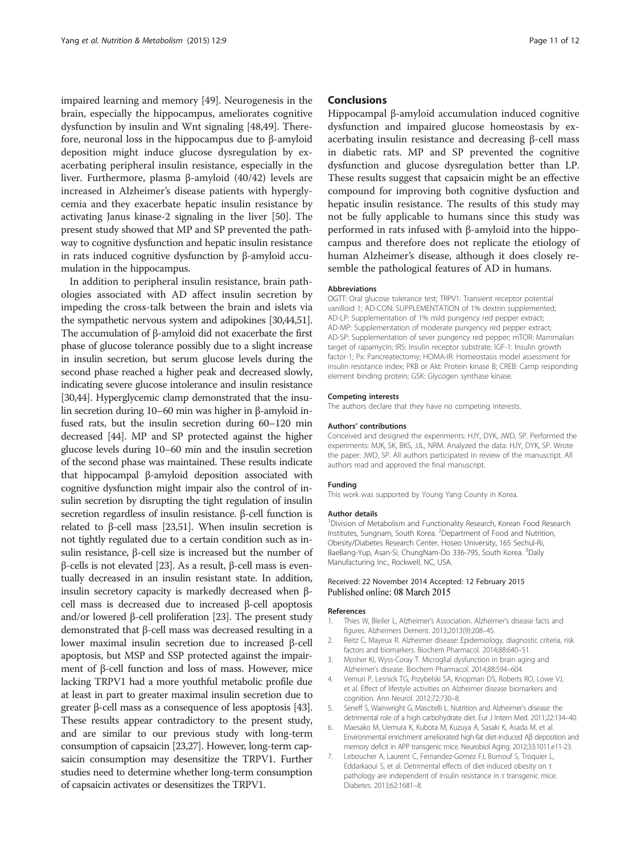<span id="page-10-0"></span>impaired learning and memory [\[49](#page-11-0)]. Neurogenesis in the brain, especially the hippocampus, ameliorates cognitive dysfunction by insulin and Wnt signaling [[48](#page-11-0),[49](#page-11-0)]. Therefore, neuronal loss in the hippocampus due to β-amyloid deposition might induce glucose dysregulation by exacerbating peripheral insulin resistance, especially in the liver. Furthermore, plasma β-amyloid (40/42) levels are increased in Alzheimer's disease patients with hyperglycemia and they exacerbate hepatic insulin resistance by activating Janus kinase-2 signaling in the liver [[50](#page-11-0)]. The present study showed that MP and SP prevented the pathway to cognitive dysfunction and hepatic insulin resistance in rats induced cognitive dysfunction by β-amyloid accumulation in the hippocampus.

In addition to peripheral insulin resistance, brain pathologies associated with AD affect insulin secretion by impeding the cross-talk between the brain and islets via the sympathetic nervous system and adipokines [\[30,44,51](#page-11-0)]. The accumulation of β-amyloid did not exacerbate the first phase of glucose tolerance possibly due to a slight increase in insulin secretion, but serum glucose levels during the second phase reached a higher peak and decreased slowly, indicating severe glucose intolerance and insulin resistance [[30,44\]](#page-11-0). Hyperglycemic clamp demonstrated that the insulin secretion during 10–60 min was higher in β-amyloid infused rats, but the insulin secretion during 60–120 min decreased [\[44](#page-11-0)]. MP and SP protected against the higher glucose levels during 10–60 min and the insulin secretion of the second phase was maintained. These results indicate that hippocampal β-amyloid deposition associated with cognitive dysfunction might impair also the control of insulin secretion by disrupting the tight regulation of insulin secretion regardless of insulin resistance. β-cell function is related to β-cell mass [[23,51\]](#page-11-0). When insulin secretion is not tightly regulated due to a certain condition such as insulin resistance, β-cell size is increased but the number of β-cells is not elevated [[23](#page-11-0)]. As a result, β-cell mass is eventually decreased in an insulin resistant state. In addition, insulin secretory capacity is markedly decreased when βcell mass is decreased due to increased β-cell apoptosis and/or lowered β-cell proliferation [\[23\]](#page-11-0). The present study demonstrated that β-cell mass was decreased resulting in a lower maximal insulin secretion due to increased β-cell apoptosis, but MSP and SSP protected against the impairment of β-cell function and loss of mass. However, mice lacking TRPV1 had a more youthful metabolic profile due at least in part to greater maximal insulin secretion due to greater β-cell mass as a consequence of less apoptosis [\[43](#page-11-0)]. These results appear contradictory to the present study, and are similar to our previous study with long-term consumption of capsaicin [\[23,27](#page-11-0)]. However, long-term capsaicin consumption may desensitize the TRPV1. Further studies need to determine whether long-term consumption of capsaicin activates or desensitizes the TRPV1.

### Conclusions

Hippocampal β-amyloid accumulation induced cognitive dysfunction and impaired glucose homeostasis by exacerbating insulin resistance and decreasing β-cell mass in diabetic rats. MP and SP prevented the cognitive dysfunction and glucose dysregulation better than LP. These results suggest that capsaicin might be an effective compound for improving both cognitive dysfuction and hepatic insulin resistance. The results of this study may not be fully applicable to humans since this study was performed in rats infused with β-amyloid into the hippocampus and therefore does not replicate the etiology of human Alzheimer's disease, although it does closely resemble the pathological features of AD in humans.

#### Abbreviations

OGTT: Oral glucose tolerance test; TRPV1: Transient receptor potential vanilloid 1; AD-CON: SUPPLEMENTATION of 1% dextrin supplemented; AD-LP: Supplementation of 1% mild pungency red pepper extract; AD-MP: Supplementation of moderate pungency red pepper extract; AD-SP: Supplementation of sever pungency red pepper; mTOR: Mammalian target of rapamycin; IRS: Insulin receptor substrate; IGF-1: Insulin growth factor-1; Px: Pancreatectomy; HOMA-IR: Homeostasis model assessment for insulin resistance index; PKB or Akt: Protein kinase B; CREB: Camp responding element binding protein; GSK: Glycogen synthase kinase.

#### Competing interests

The authors declare that they have no competing interests.

#### Authors' contributions

Conceived and designed the experiments: HJY, DYK, JWD, SP. Performed the experiments: MJK, SK, BKS, JJL, NRM. Analyzed the data: HJY, DYK, SP. Wrote the paper: JWD, SP. All authors participated in review of the manuscript. All authors read and approved the final manuscript.

#### Funding

This work was supported by Young Yang County in Korea.

#### Author details

<sup>1</sup> Division of Metabolism and Functionality Research, Korean Food Research Institutes, Sungnam, South Korea. <sup>2</sup>Department of Food and Nutrition, Obesity/Diabetes Research Center, Hoseo University, 165 Sechul-Ri, BaeBang-Yup, Asan-Si, ChungNam-Do 336-795, South Korea. <sup>3</sup>Daily Manufacturing Inc., Rockwell, NC, USA.

#### Received: 22 November 2014 Accepted: 12 February 2015 Published online: 08 March 2015

#### References

- 1. Thies W, Bleiler L, Alzheimer's Association. Alzheimer's disease facts and figures. Alzheimers Dement. 2013;2013(9):208–45.
- 2. Reitz C, Mayeux R. Alzheimer disease: Epidemiology, diagnostic criteria, risk factors and biomarkers. Biochem Pharmacol. 2014;88:640–51.
- 3. Mosher KI, Wyss-Coray T. Microglial dysfunction in brain aging and Alzheimer's disease. Biochem Pharmacol. 2014;88:594–604.
- 4. Vemuri P, Lesnick TG, Przybelski SA, Knopman DS, Roberts RO, Lowe VJ, et al. Effect of lifestyle activities on Alzheimer disease biomarkers and cognition. Ann Neurol. 2012;72:730–8.
- 5. Seneff S, Wainwright G, Mascitelli L. Nutrition and Alzheimer's disease: the detrimental role of a high carbohydrate diet. Eur J Intern Med. 2011;22:134–40.
- 6. Maesako M, Uemura K, Kubota M, Kuzuya A, Sasaki K, Asada M, et al. Environmental enrichment ameliorated high-fat diet-induced Aβ deposition and memory deficit in APP transgenic mice. Neurobiol Aging. 2012;33:1011.e11-23.
- 7. Leboucher A, Laurent C, Fernandez-Gomez FJ, Burnouf S, Troquier L, Eddarkaoui S, et al. Detrimental effects of diet-induced obesity on τ pathology are independent of insulin resistance in τ transgenic mice. Diabetes. 2013;62:1681–8.